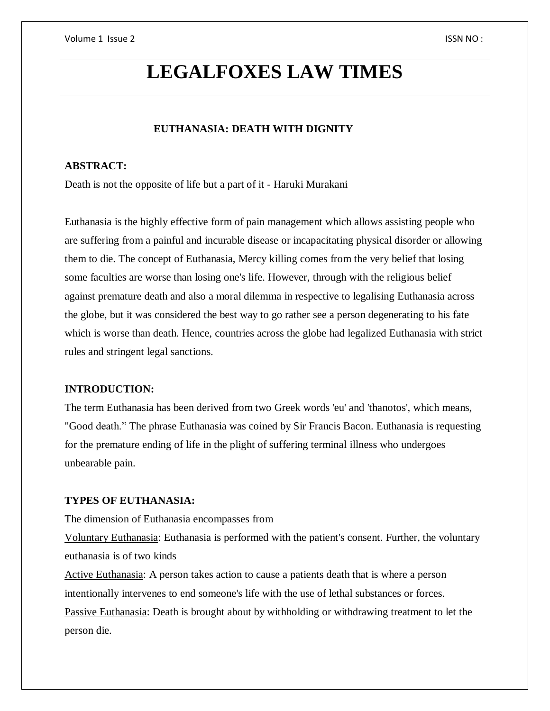# **LEGALFOXES LAW TIMES**

## **EUTHANASIA: DEATH WITH DIGNITY**

## **ABSTRACT:**

Death is not the opposite of life but a part of it - Haruki Murakani

Euthanasia is the highly effective form of pain management which allows assisting people who are suffering from a painful and incurable disease or incapacitating physical disorder or allowing them to die. The concept of Euthanasia, Mercy killing comes from the very belief that losing some faculties are worse than losing one's life. However, through with the religious belief against premature death and also a moral dilemma in respective to legalising Euthanasia across the globe, but it was considered the best way to go rather see a person degenerating to his fate which is worse than death. Hence, countries across the globe had legalized Euthanasia with strict rules and stringent legal sanctions.

#### **INTRODUCTION:**

The term Euthanasia has been derived from two Greek words 'eu' and 'thanotos', which means, "Good death." The phrase Euthanasia was coined by Sir Francis Bacon. Euthanasia is requesting for the premature ending of life in the plight of suffering terminal illness who undergoes unbearable pain.

#### **TYPES OF EUTHANASIA:**

The dimension of Euthanasia encompasses from

Voluntary Euthanasia: Euthanasia is performed with the patient's consent. Further, the voluntary euthanasia is of two kinds

Active Euthanasia: A person takes action to cause a patients death that is where a person intentionally intervenes to end someone's life with the use of lethal substances or forces. Passive Euthanasia: Death is brought about by withholding or withdrawing treatment to let the person die.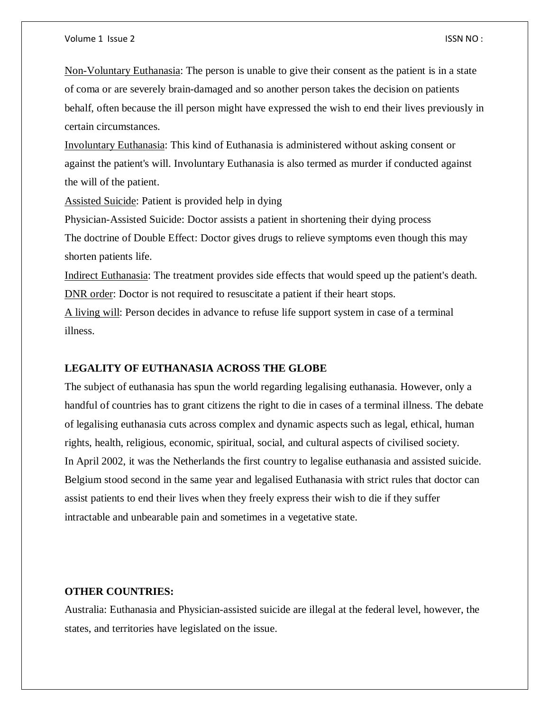Non-Voluntary Euthanasia: The person is unable to give their consent as the patient is in a state of coma or are severely brain-damaged and so another person takes the decision on patients behalf, often because the ill person might have expressed the wish to end their lives previously in certain circumstances.

Involuntary Euthanasia: This kind of Euthanasia is administered without asking consent or against the patient's will. Involuntary Euthanasia is also termed as murder if conducted against the will of the patient.

Assisted Suicide: Patient is provided help in dying

Physician-Assisted Suicide: Doctor assists a patient in shortening their dying process The doctrine of Double Effect: Doctor gives drugs to relieve symptoms even though this may shorten patients life.

Indirect Euthanasia: The treatment provides side effects that would speed up the patient's death. DNR order: Doctor is not required to resuscitate a patient if their heart stops.

A living will: Person decides in advance to refuse life support system in case of a terminal illness.

#### **LEGALITY OF EUTHANASIA ACROSS THE GLOBE**

The subject of euthanasia has spun the world regarding legalising euthanasia. However, only a handful of countries has to grant citizens the right to die in cases of a terminal illness. The debate of legalising euthanasia cuts across complex and dynamic aspects such as legal, ethical, human rights, health, religious, economic, spiritual, social, and cultural aspects of civilised society. In April 2002, it was the Netherlands the first country to legalise euthanasia and assisted suicide. Belgium stood second in the same year and legalised Euthanasia with strict rules that doctor can assist patients to end their lives when they freely express their wish to die if they suffer intractable and unbearable pain and sometimes in a vegetative state.

#### **OTHER COUNTRIES:**

Australia: Euthanasia and Physician-assisted suicide are illegal at the federal level, however, the states, and territories have legislated on the issue.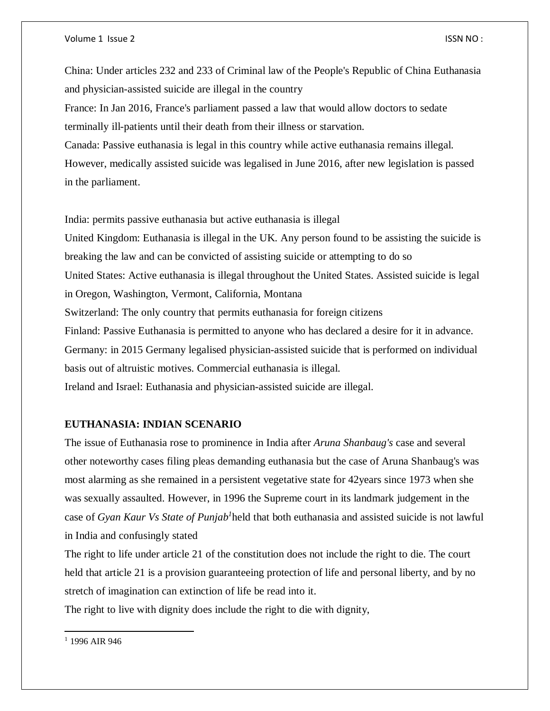China: Under articles 232 and 233 of Criminal law of the People's Republic of China Euthanasia and physician-assisted suicide are illegal in the country

France: In Jan 2016, France's parliament passed a law that would allow doctors to sedate terminally ill-patients until their death from their illness or starvation.

Canada: Passive euthanasia is legal in this country while active euthanasia remains illegal. However, medically assisted suicide was legalised in June 2016, after new legislation is passed in the parliament.

India: permits passive euthanasia but active euthanasia is illegal

United Kingdom: Euthanasia is illegal in the UK. Any person found to be assisting the suicide is breaking the law and can be convicted of assisting suicide or attempting to do so United States: Active euthanasia is illegal throughout the United States. Assisted suicide is legal in Oregon, Washington, Vermont, California, Montana Switzerland: The only country that permits euthanasia for foreign citizens Finland: Passive Euthanasia is permitted to anyone who has declared a desire for it in advance. Germany: in 2015 Germany legalised physician-assisted suicide that is performed on individual basis out of altruistic motives. Commercial euthanasia is illegal. Ireland and Israel: Euthanasia and physician-assisted suicide are illegal.

### **EUTHANASIA: INDIAN SCENARIO**

The issue of Euthanasia rose to prominence in India after *Aruna Shanbaug's* case and several other noteworthy cases filing pleas demanding euthanasia but the case of Aruna Shanbaug's was most alarming as she remained in a persistent vegetative state for 42years since 1973 when she was sexually assaulted. However, in 1996 the Supreme court in its landmark judgement in the case of *Gyan Kaur Vs State of Punjab<sup>1</sup>* held that both euthanasia and assisted suicide is not lawful in India and confusingly stated

The right to life under article 21 of the constitution does not include the right to die. The court held that article 21 is a provision guaranteeing protection of life and personal liberty, and by no stretch of imagination can extinction of life be read into it.

The right to live with dignity does include the right to die with dignity,

 $\overline{a}$ 

<sup>&</sup>lt;sup>1</sup> 1996 AIR 946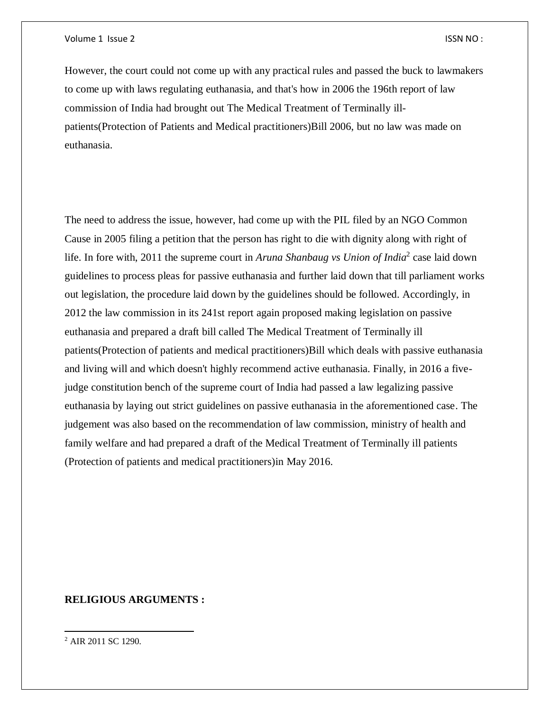However, the court could not come up with any practical rules and passed the buck to lawmakers to come up with laws regulating euthanasia, and that's how in 2006 the 196th report of law commission of India had brought out The Medical Treatment of Terminally illpatients(Protection of Patients and Medical practitioners)Bill 2006, but no law was made on euthanasia.

The need to address the issue, however, had come up with the PIL filed by an NGO Common Cause in 2005 filing a petition that the person has right to die with dignity along with right of life. In fore with, 2011 the supreme court in *Aruna Shanbaug vs Union of India*<sup>2</sup> case laid down guidelines to process pleas for passive euthanasia and further laid down that till parliament works out legislation, the procedure laid down by the guidelines should be followed. Accordingly, in 2012 the law commission in its 241st report again proposed making legislation on passive euthanasia and prepared a draft bill called The Medical Treatment of Terminally ill patients(Protection of patients and medical practitioners)Bill which deals with passive euthanasia and living will and which doesn't highly recommend active euthanasia. Finally, in 2016 a fivejudge constitution bench of the supreme court of India had passed a law legalizing passive euthanasia by laying out strict guidelines on passive euthanasia in the aforementioned case. The judgement was also based on the recommendation of law commission, ministry of health and family welfare and had prepared a draft of the Medical Treatment of Terminally ill patients (Protection of patients and medical practitioners)in May 2016.

## **RELIGIOUS ARGUMENTS :**

 $\overline{a}$ 

<sup>2</sup> AIR 2011 SC 1290.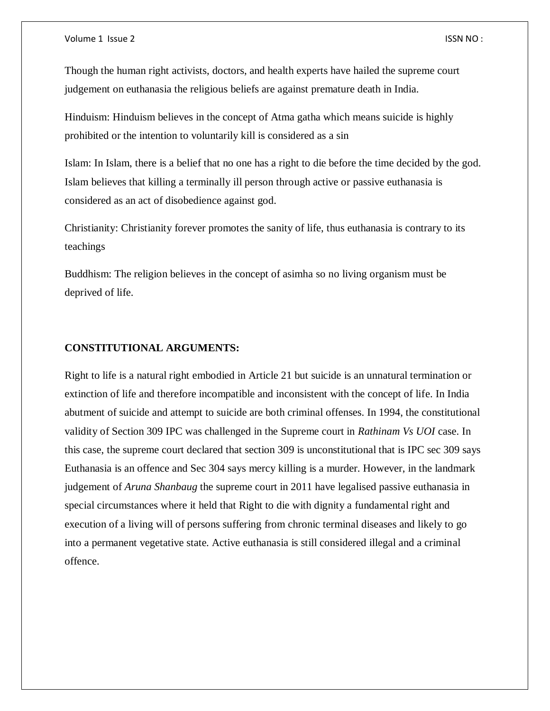Though the human right activists, doctors, and health experts have hailed the supreme court judgement on euthanasia the religious beliefs are against premature death in India.

Hinduism: Hinduism believes in the concept of Atma gatha which means suicide is highly prohibited or the intention to voluntarily kill is considered as a sin

Islam: In Islam, there is a belief that no one has a right to die before the time decided by the god. Islam believes that killing a terminally ill person through active or passive euthanasia is considered as an act of disobedience against god.

Christianity: Christianity forever promotes the sanity of life, thus euthanasia is contrary to its teachings

Buddhism: The religion believes in the concept of asimha so no living organism must be deprived of life.

## **CONSTITUTIONAL ARGUMENTS:**

Right to life is a natural right embodied in Article 21 but suicide is an unnatural termination or extinction of life and therefore incompatible and inconsistent with the concept of life. In India abutment of suicide and attempt to suicide are both criminal offenses. In 1994, the constitutional validity of Section 309 IPC was challenged in the Supreme court in *Rathinam Vs UOI* case. In this case, the supreme court declared that section 309 is unconstitutional that is IPC sec 309 says Euthanasia is an offence and Sec 304 says mercy killing is a murder. However, in the landmark judgement of *Aruna Shanbaug* the supreme court in 2011 have legalised passive euthanasia in special circumstances where it held that Right to die with dignity a fundamental right and execution of a living will of persons suffering from chronic terminal diseases and likely to go into a permanent vegetative state. Active euthanasia is still considered illegal and a criminal offence.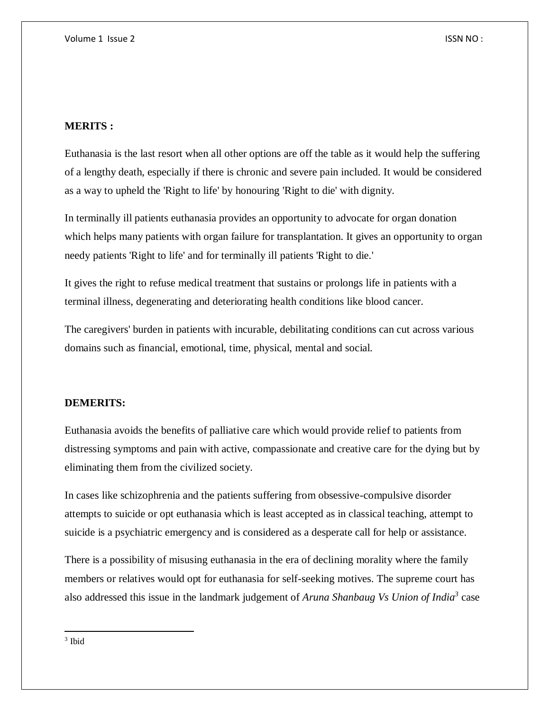## **MERITS :**

Euthanasia is the last resort when all other options are off the table as it would help the suffering of a lengthy death, especially if there is chronic and severe pain included. It would be considered as a way to upheld the 'Right to life' by honouring 'Right to die' with dignity.

In terminally ill patients euthanasia provides an opportunity to advocate for organ donation which helps many patients with organ failure for transplantation. It gives an opportunity to organ needy patients 'Right to life' and for terminally ill patients 'Right to die.'

It gives the right to refuse medical treatment that sustains or prolongs life in patients with a terminal illness, degenerating and deteriorating health conditions like blood cancer.

The caregivers' burden in patients with incurable, debilitating conditions can cut across various domains such as financial, emotional, time, physical, mental and social.

### **DEMERITS:**

Euthanasia avoids the benefits of palliative care which would provide relief to patients from distressing symptoms and pain with active, compassionate and creative care for the dying but by eliminating them from the civilized society.

In cases like schizophrenia and the patients suffering from obsessive-compulsive disorder attempts to suicide or opt euthanasia which is least accepted as in classical teaching, attempt to suicide is a psychiatric emergency and is considered as a desperate call for help or assistance.

There is a possibility of misusing euthanasia in the era of declining morality where the family members or relatives would opt for euthanasia for self-seeking motives. The supreme court has also addressed this issue in the landmark judgement of *Aruna Shanbaug Vs Union of India<sup>3</sup>* case

 $\overline{a}$ 

<sup>3</sup> Ibid